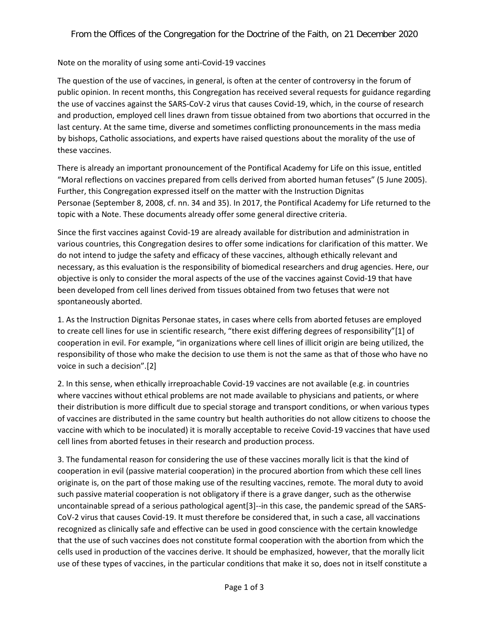## Note on the morality of using some anti-Covid-19 vaccines

The question of the use of vaccines, in general, is often at the center of controversy in the forum of public opinion. In recent months, this Congregation has received several requests for guidance regarding the use of vaccines against the SARS-CoV-2 virus that causes Covid-19, which, in the course of research and production, employed cell lines drawn from tissue obtained from two abortions that occurred in the last century. At the same time, diverse and sometimes conflicting pronouncements in the mass media by bishops, Catholic associations, and experts have raised questions about the morality of the use of these vaccines.

There is already an important pronouncement of the Pontifical Academy for Life on this issue, entitled "Moral reflections on vaccines prepared from cells derived from aborted human fetuses" (5 June 2005). Further, this Congregation expressed itself on the matter with the Instruction Dignitas Personae (September 8, 2008, cf. nn. 34 and 35). In 2017, the Pontifical Academy for Life returned to the topic with a Note. These documents already offer some general directive criteria.

Since the first vaccines against Covid-19 are already available for distribution and administration in various countries, this Congregation desires to offer some indications for clarification of this matter. We do not intend to judge the safety and efficacy of these vaccines, although ethically relevant and necessary, as this evaluation is the responsibility of biomedical researchers and drug agencies. Here, our objective is only to consider the moral aspects of the use of the vaccines against Covid-19 that have been developed from cell lines derived from tissues obtained from two fetuses that were not spontaneously aborted.

1. As the Instruction Dignitas Personae states, in cases where cells from aborted fetuses are employed to create cell lines for use in scientific research, "there exist differing degrees of responsibility"[1] of cooperation in evil. For example, "in organizations where cell lines of illicit origin are being utilized, the responsibility of those who make the decision to use them is not the same as that of those who have no voice in such a decision".[2]

2. In this sense, when ethically irreproachable Covid-19 vaccines are not available (e.g. in countries where vaccines without ethical problems are not made available to physicians and patients, or where their distribution is more difficult due to special storage and transport conditions, or when various types of vaccines are distributed in the same country but health authorities do not allow citizens to choose the vaccine with which to be inoculated) it is morally acceptable to receive Covid-19 vaccines that have used cell lines from aborted fetuses in their research and production process.

3. The fundamental reason for considering the use of these vaccines morally licit is that the kind of cooperation in evil (passive material cooperation) in the procured abortion from which these cell lines originate is, on the part of those making use of the resulting vaccines, remote. The moral duty to avoid such passive material cooperation is not obligatory if there is a grave danger, such as the otherwise uncontainable spread of a serious pathological agent[3]--in this case, the pandemic spread of the SARS-CoV-2 virus that causes Covid-19. It must therefore be considered that, in such a case, all vaccinations recognized as clinically safe and effective can be used in good conscience with the certain knowledge that the use of such vaccines does not constitute formal cooperation with the abortion from which the cells used in production of the vaccines derive. It should be emphasized, however, that the morally licit use of these types of vaccines, in the particular conditions that make it so, does not in itself constitute a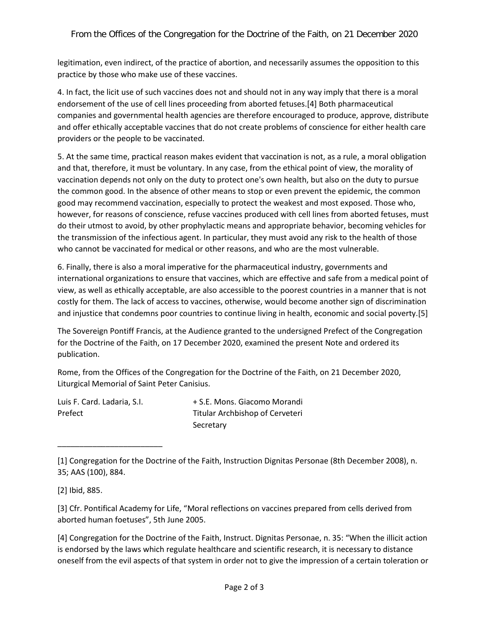legitimation, even indirect, of the practice of abortion, and necessarily assumes the opposition to this practice by those who make use of these vaccines.

4. In fact, the licit use of such vaccines does not and should not in any way imply that there is a moral endorsement of the use of cell lines proceeding from aborted fetuses.[4] Both pharmaceutical companies and governmental health agencies are therefore encouraged to produce, approve, distribute and offer ethically acceptable vaccines that do not create problems of conscience for either health care providers or the people to be vaccinated.

5. At the same time, practical reason makes evident that vaccination is not, as a rule, a moral obligation and that, therefore, it must be voluntary. In any case, from the ethical point of view, the morality of vaccination depends not only on the duty to protect one's own health, but also on the duty to pursue the common good. In the absence of other means to stop or even prevent the epidemic, the common good may recommend vaccination, especially to protect the weakest and most exposed. Those who, however, for reasons of conscience, refuse vaccines produced with cell lines from aborted fetuses, must do their utmost to avoid, by other prophylactic means and appropriate behavior, becoming vehicles for the transmission of the infectious agent. In particular, they must avoid any risk to the health of those who cannot be vaccinated for medical or other reasons, and who are the most vulnerable.

6. Finally, there is also a moral imperative for the pharmaceutical industry, governments and international organizations to ensure that vaccines, which are effective and safe from a medical point of view, as well as ethically acceptable, are also accessible to the poorest countries in a manner that is not costly for them. The lack of access to vaccines, otherwise, would become another sign of discrimination and injustice that condemns poor countries to continue living in health, economic and social poverty.[5]

The Sovereign Pontiff Francis, at the Audience granted to the undersigned Prefect of the Congregation for the Doctrine of the Faith, on 17 December 2020, examined the present Note and ordered its publication.

Rome, from the Offices of the Congregation for the Doctrine of the Faith, on 21 December 2020, Liturgical Memorial of Saint Peter Canisius.

| Luis F. Card. Ladaria, S.I. | + S.E. Mons. Giacomo Morandi    |
|-----------------------------|---------------------------------|
| Prefect                     | Titular Archbishop of Cerveteri |
|                             | Secretary                       |

<sup>[1]</sup> Congregation for the Doctrine of the Faith, Instruction Dignitas Personae (8th December 2008), n. 35; AAS (100), 884.

\_\_\_\_\_\_\_\_\_\_\_\_\_\_\_\_\_\_\_\_\_\_\_\_

[3] Cfr. Pontifical Academy for Life, "Moral reflections on vaccines prepared from cells derived from aborted human foetuses", 5th June 2005.

[4] Congregation for the Doctrine of the Faith, Instruct. Dignitas Personae, n. 35: "When the illicit action is endorsed by the laws which regulate healthcare and scientific research, it is necessary to distance oneself from the evil aspects of that system in order not to give the impression of a certain toleration or

<sup>[2]</sup> Ibid, 885.